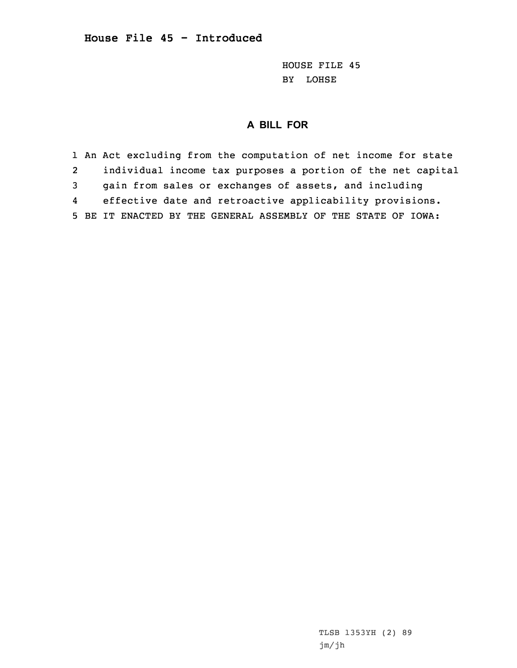HOUSE FILE 45 BY LOHSE

## **A BILL FOR**

1 An Act excluding from the computation of net income for state 2 individual income tax purposes <sup>a</sup> portion of the net capital 3 gain from sales or exchanges of assets, and including 4 effective date and retroactive applicability provisions. 5 BE IT ENACTED BY THE GENERAL ASSEMBLY OF THE STATE OF IOWA:

> TLSB 1353YH (2) 89 jm/jh